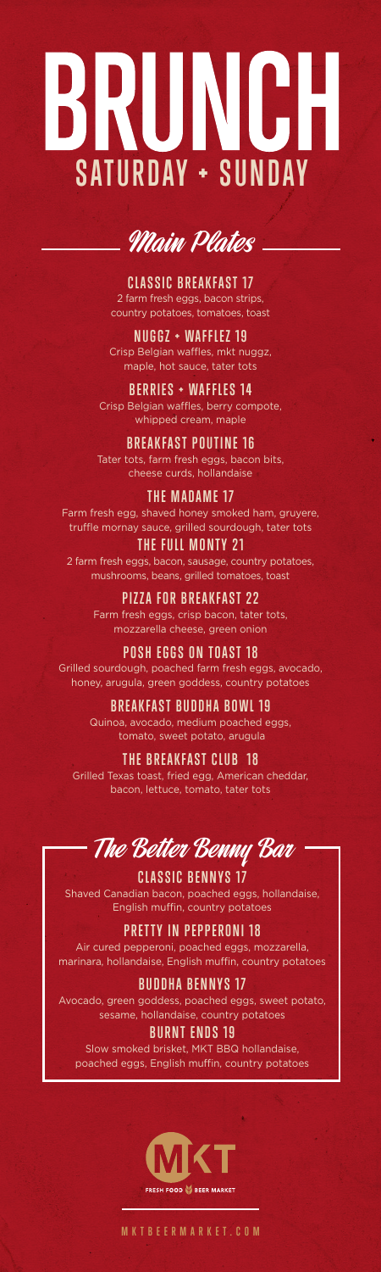# RUNGH **SATURDAY + SUNDAY**



**CLASSIC BREAKFAST 17** 2 farm fresh eggs, bacon strips, country potatoes, tomatoes, toast

**NUGGZ + WAFFLEZ 19** Crisp Belgian waffles, mkt nuggz, maple, hot sauce, tater tots

**BERRIES + WAFFLES 14** Crisp Belgian waffles, berry compote, whipped cream, maple

**BREAKFAST POUTINE 16** Tater tots, farm fresh eggs, bacon bits, cheese curds, hollandaise

#### **THE MADAME 17**

Farm fresh egg, shaved honey smoked ham, gruyere, truffle mornay sauce, grilled sourdough, tater tots

**THE FULL MONTY 21** 2 farm fresh eggs, bacon, sausage, country potatoes, mushrooms, beans, grilled tomatoes, toast

> **PIZZA FOR BREAKFAST 22** Farm fresh eggs, crisp bacon, tater tots, mozzarella cheese, green onion

**POSH EGGS ON TOAST 18** Grilled sourdough, poached farm fresh eggs, avocado, honey, arugula, green goddess, country potatoes

> **BREAKFAST BUDDHA BOWL 19** Quinoa, avocado, medium poached eggs, tomato, sweet potato, arugula

**THE BREAKFAST CLUB 18** Grilled Texas toast, fried egg, American cheddar, bacon, lettuce, tomato, tater tots

The Better Benny Bar

**CLASSIC BENNYS 17** Shaved Canadian bacon, poached eggs, hollandaise, English muffin, country potatoes

**PRETTY IN PEPPERONI 18** Air cured pepperoni, poached eggs, mozzarella, marinara, hollandaise, English muffin, country potatoes

**BUDDHA BENNYS 17** Avocado, green goddess, poached eggs, sweet potato, sesame, hollandaise, country potatoes

**BURNT ENDS 19** Slow smoked brisket, MKT BBQ hollandaise, poached eggs, English muffin, country potatoes



**MKTBEERMARKET.COM**